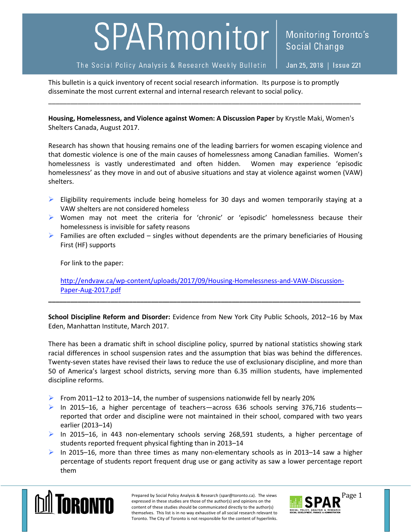## SPARmonitor<sup>|</sup>

The Social Policy Analysis & Research Weekly Bulletin

Jan 25, 2018 | Issue 221

**Social Change** 

**Monitoring Toronto's** 

This bulletin is a quick inventory of recent social research information. Its purpose is to promptly disseminate the most current external and internal research relevant to social policy.

**Housing, Homelessness, and Violence against Women: A Discussion Paper** by Krystle Maki, Women's Shelters Canada, August 2017.

\_\_\_\_\_\_\_\_\_\_\_\_\_\_\_\_\_\_\_\_\_\_\_\_\_\_\_\_\_\_\_\_\_\_\_\_\_\_\_\_\_\_\_\_\_\_\_\_\_\_\_\_\_\_\_\_\_\_\_\_\_\_\_\_\_\_\_\_\_\_\_\_\_\_\_\_\_\_\_\_\_\_\_\_\_

Research has shown that housing remains one of the leading barriers for women escaping violence and that domestic violence is one of the main causes of homelessness among Canadian families. Women's homelessness is vastly underestimated and often hidden. Women may experience 'episodic homelessness' as they move in and out of abusive situations and stay at violence against women (VAW) shelters.

- $\triangleright$  Eligibility requirements include being homeless for 30 days and women temporarily staying at a VAW shelters are not considered homeless
- Women may not meet the criteria for 'chronic' or 'episodic' homelessness because their homelessness is invisible for safety reasons
- $\triangleright$  Families are often excluded singles without dependents are the primary beneficiaries of Housing First (HF) supports

For link to the paper:

[http://endvaw.ca/wp-content/uploads/2017/09/Housing-Homelessness-and-VAW-Discussion-](http://endvaw.ca/wp-content/uploads/2017/09/Housing-Homelessness-and-VAW-Discussion-Paper-Aug-2017.pdf)[Paper-Aug-2017.pdf](http://endvaw.ca/wp-content/uploads/2017/09/Housing-Homelessness-and-VAW-Discussion-Paper-Aug-2017.pdf)

**\_\_\_\_\_\_\_\_\_\_\_\_\_\_\_\_\_\_\_\_\_\_\_\_\_\_\_\_\_\_\_\_\_\_\_\_\_\_\_\_\_\_\_\_\_\_\_\_\_\_\_\_\_\_\_\_\_\_\_\_\_\_\_\_\_\_\_\_\_\_\_\_\_\_\_\_\_\_\_\_\_\_\_\_\_**

**School Discipline Reform and Disorder:** Evidence from New York City Public Schools, 2012–16 by Max Eden, Manhattan Institute, March 2017.

There has been a dramatic shift in school discipline policy, spurred by national statistics showing stark racial differences in school suspension rates and the assumption that bias was behind the differences. Twenty-seven states have revised their laws to reduce the use of exclusionary discipline, and more than 50 of America's largest school districts, serving more than 6.35 million students, have implemented discipline reforms.

- From 2011–12 to 2013–14, the number of suspensions nationwide fell by nearly 20%
- $\triangleright$  In 2015–16, a higher percentage of teachers—across 636 schools serving 376,716 students reported that order and discipline were not maintained in their school, compared with two years earlier (2013–14)
- $\triangleright$  In 2015–16, in 443 non-elementary schools serving 268,591 students, a higher percentage of students reported frequent physical fighting than in 2013–14
- $\triangleright$  In 2015–16, more than three times as many non-elementary schools as in 2013–14 saw a higher percentage of students report frequent drug use or gang activity as saw a lower percentage report them



Prepared by Social Policy Analysis & Research (spar@toronto.ca). The views Page 1 expressed in these studies are those of the author(s) and opinions on the content of these studies should be communicated directly to the author(s) themselves. This list is in no way exhaustive of all social research relevant to Toronto. The City of Toronto is not responsible for the content of hyperlinks.

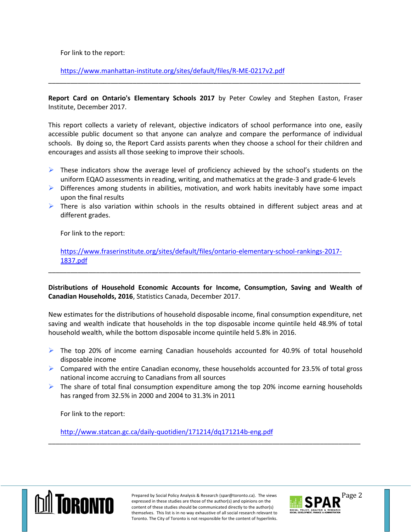For link to the report:

<https://www.manhattan-institute.org/sites/default/files/R-ME-0217v2.pdf>

**Report Card on Ontario's Elementary Schools 2017** by Peter Cowley and Stephen Easton, Fraser Institute, December 2017.

\_\_\_\_\_\_\_\_\_\_\_\_\_\_\_\_\_\_\_\_\_\_\_\_\_\_\_\_\_\_\_\_\_\_\_\_\_\_\_\_\_\_\_\_\_\_\_\_\_\_\_\_\_\_\_\_\_\_\_\_\_\_\_\_\_\_\_\_\_\_\_\_\_\_\_\_\_\_\_\_\_\_\_\_\_

This report collects a variety of relevant, objective indicators of school performance into one, easily accessible public document so that anyone can analyze and compare the performance of individual schools. By doing so, the Report Card assists parents when they choose a school for their children and encourages and assists all those seeking to improve their schools.

- $\triangleright$  These indicators show the average level of proficiency achieved by the school's students on the uniform EQAO assessments in reading, writing, and mathematics at the grade-3 and grade-6 levels
- $\triangleright$  Differences among students in abilities, motivation, and work habits inevitably have some impact upon the final results
- $\triangleright$  There is also variation within schools in the results obtained in different subject areas and at different grades.

For link to the report:

[https://www.fraserinstitute.org/sites/default/files/ontario-elementary-school-rankings-2017-](https://www.fraserinstitute.org/sites/default/files/ontario-elementary-school-rankings-2017-1837.pdf) [1837.pdf](https://www.fraserinstitute.org/sites/default/files/ontario-elementary-school-rankings-2017-1837.pdf)

\_\_\_\_\_\_\_\_\_\_\_\_\_\_\_\_\_\_\_\_\_\_\_\_\_\_\_\_\_\_\_\_\_\_\_\_\_\_\_\_\_\_\_\_\_\_\_\_\_\_\_\_\_\_\_\_\_\_\_\_\_\_\_\_\_\_\_\_\_\_\_\_\_\_\_\_\_\_\_\_\_\_\_\_\_

**Distributions of Household Economic Accounts for Income, Consumption, Saving and Wealth of Canadian Households, 2016**, Statistics Canada, December 2017.

New estimates for the distributions of household disposable income, final consumption expenditure, net saving and wealth indicate that households in the top disposable income quintile held 48.9% of total household wealth, while the bottom disposable income quintile held 5.8% in 2016.

- $\triangleright$  The top 20% of income earning Canadian households accounted for 40.9% of total household disposable income
- $\triangleright$  Compared with the entire Canadian economy, these households accounted for 23.5% of total gross national income accruing to Canadians from all sources
- $\triangleright$  The share of total final consumption expenditure among the top 20% income earning households has ranged from 32.5% in 2000 and 2004 to 31.3% in 2011

\_\_\_\_\_\_\_\_\_\_\_\_\_\_\_\_\_\_\_\_\_\_\_\_\_\_\_\_\_\_\_\_\_\_\_\_\_\_\_\_\_\_\_\_\_\_\_\_\_\_\_\_\_\_\_\_\_\_\_\_\_\_\_\_\_\_\_\_\_\_\_\_\_\_\_\_\_\_\_\_\_\_\_\_\_

For link to the report:

<http://www.statcan.gc.ca/daily-quotidien/171214/dq171214b-eng.pdf>